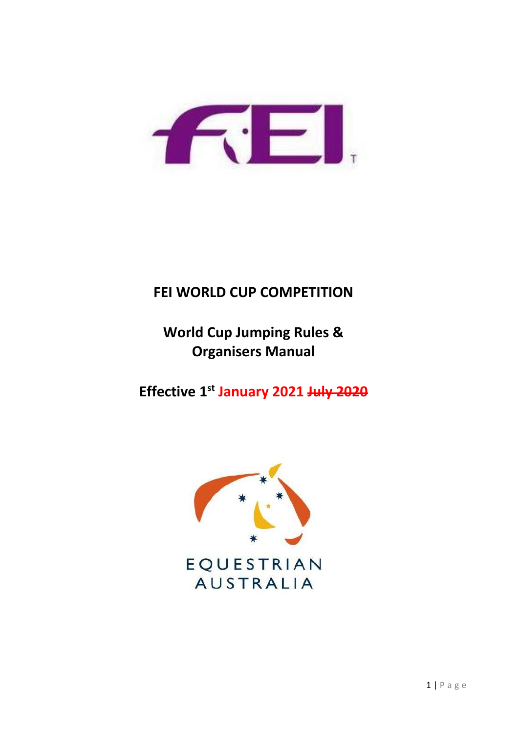

# **FEI WORLD CUP COMPETITION**

**World Cup Jumping Rules & Organisers Manual**

**Effective 1st January 2021 July 2020**

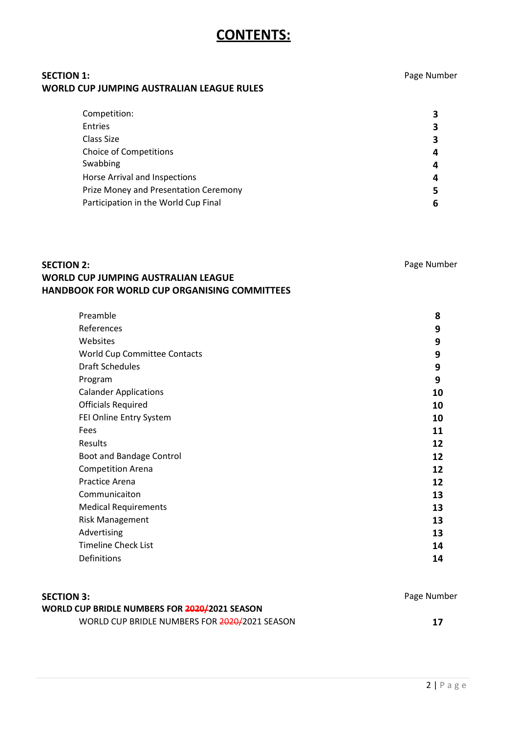# **CONTENTS:**

# **SECTION 1:** Page Number **WORLD CUP JUMPING AUSTRALIAN LEAGUE RULES**

| Competition:                          | 3 |
|---------------------------------------|---|
| Entries                               | 3 |
| Class Size                            | 3 |
| <b>Choice of Competitions</b>         | 4 |
| Swabbing                              | 4 |
| Horse Arrival and Inspections         | 4 |
| Prize Money and Presentation Ceremony | 5 |
| Participation in the World Cup Final  | 6 |

# **SECTION 2:** Page Number **WORLD CUP JUMPING AUSTRALIAN LEAGUE HANDBOOK FOR WORLD CUP ORGANISING COMMITTEES**

| Preamble                            | 8  |
|-------------------------------------|----|
| References                          | 9  |
| Websites                            | 9  |
| <b>World Cup Committee Contacts</b> | 9  |
| <b>Draft Schedules</b>              | 9  |
| Program                             | 9  |
| <b>Calander Applications</b>        | 10 |
| <b>Officials Required</b>           | 10 |
| FEI Online Entry System             | 10 |
| Fees                                | 11 |
| Results                             | 12 |
| Boot and Bandage Control            | 12 |
| <b>Competition Arena</b>            | 12 |
| <b>Practice Arena</b>               | 12 |
| Communicaiton                       | 13 |
| <b>Medical Requirements</b>         | 13 |
| <b>Risk Management</b>              | 13 |
| Advertising                         | 13 |
| <b>Timeline Check List</b>          | 14 |
| Definitions                         | 14 |

| <b>SECTION 3:</b>                             | Page Number |
|-----------------------------------------------|-------------|
| WORLD CUP BRIDLE NUMBERS FOR 2020/2021 SEASON |             |
| WORLD CUP BRIDLE NUMBERS FOR 2020/2021 SEASON | - 17        |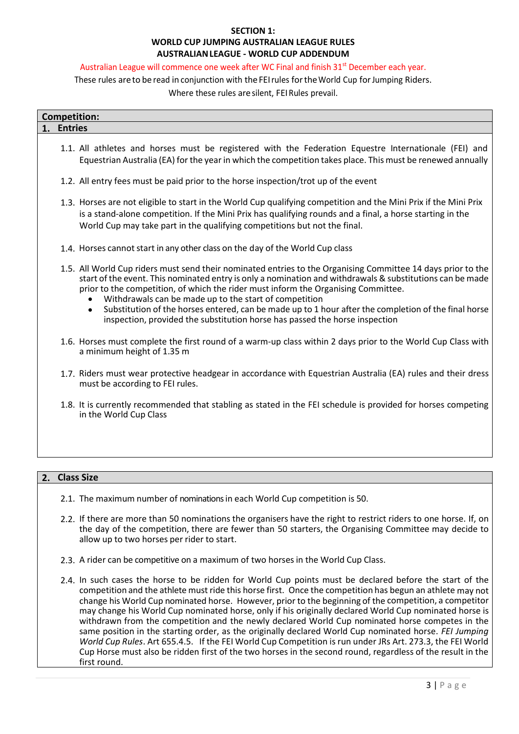### **SECTION 1: WORLD CUP JUMPING AUSTRALIAN LEAGUE RULES AUSTRALIANLEAGUE - WORLD CUP ADDENDUM**

#### Australian League will commence one week after WC Final and finish 31<sup>st</sup> December each year.

These rules are to be read in conjunction with the FEI rules for the World Cup for Jumping Riders.

Where these rules aresilent, FEIRules prevail.

|    | <b>Competition:</b> |  |
|----|---------------------|--|
| 1. | <b>Entries</b>      |  |
|    |                     |  |

- 1.1. All athletes and horses must be registered with the Federation Equestre Internationale (FEI) and Equestrian Australia (EA) for the year in which the competition takes place. This must be renewed annually
- 1.2. All entry fees must be paid prior to the horse inspection/trot up of the event
- 1.3. Horses are not eligible to start in the World Cup qualifying competition and the Mini Prix if the Mini Prix is a stand-alone competition. If the Mini Prix has qualifying rounds and a final, a horse starting in the World Cup may take part in the qualifying competitions but not the final.
- 1.4. Horses cannot start in any other class on the day of the World Cup class
- 1.5. All World Cup riders must send their nominated entries to the Organising Committee 14 days prior to the start of the event. This nominated entry is only a nomination and withdrawals & substitutions can be made prior to the competition, of which the rider must inform the Organising Committee.
	- Withdrawals can be made up to the start of competition
	- Substitution of the horses entered, can be made up to 1 hour after the completion of the final horse inspection, provided the substitution horse has passed the horse inspection
- 1.6. Horses must complete the first round of a warm-up class within 2 days prior to the World Cup Class with a minimum height of 1.35 m
- 1.7. Riders must wear protective headgear in accordance with Equestrian Australia (EA) rules and their dress must be according to FEI rules.
- 1.8. It is currently recommended that stabling as stated in the FEI schedule is provided for horses competing in the World Cup Class

### **2. Class Size**

- 2.1. The maximum number of nominations in each World Cup competition is 50.
- 2.2. If there are more than 50 nominations the organisers have the right to restrict riders to one horse. If, on the day of the competition, there are fewer than 50 starters, the Organising Committee may decide to allow up to two horses per rider to start.
- 2.3. A rider can be competitive on a maximum of two horses in the World Cup Class.
- 2.4. In such cases the horse to be ridden for World Cup points must be declared before the start of the competition and the athlete must ride this horse first. Once the competition has begun an athlete may not change his World Cup nominated horse. However, prior to the beginning of the competition, a competitor may change his World Cup nominated horse, only if his originally declared World Cup nominated horse is withdrawn from the competition and the newly declared World Cup nominated horse competes in the same position in the starting order, as the originally declared World Cup nominated horse. *FEI Jumping World Cup Rules*. Art 655.4.5. If the FEI World Cup Competition is run under JRs Art. 273.3, the FEI World Cup Horse must also be ridden first of the two horses in the second round, regardless of the result in the first round.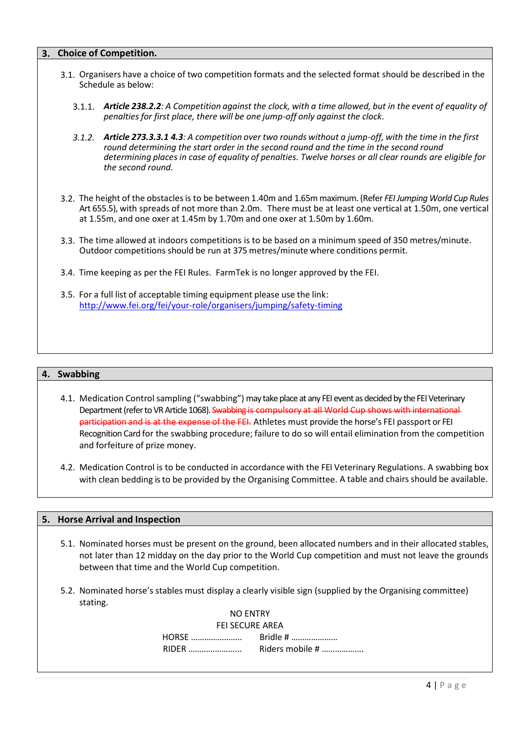### **3. Choice of Competition.**

- 3.1. Organisers have a choice of two competition formats and the selected format should be described in the Schedule as below:
	- 3.1.1. Article 238.2.2: A Competition against the clock, with a time allowed, but in the event of equality of *penalties for first place, there will be one jump-off only against the clock*.
	- 3.1.2. Article 273.3.3.1 4.3: A competition over two rounds without a jump-off, with the time in the first *round determining the start order in the second round and the time in the second round determining places in case of equality of penalties. Twelve horses or all clear rounds are eligible for the second round.*
- 3.2. The height of the obstaclesis to be between 1.40m and 1.65m maximum. (Refer *FEI Jumping World Cup Rules*  Art 655.5), with spreads of not more than 2.0m. There must be at least one vertical at 1.50m, one vertical at 1.55m, and one oxer at 1.45m by 1.70m and one oxer at 1.50m by 1.60m.
- 3.3. The time allowed at indoors competitions is to be based on a minimum speed of 350 metres/minute. Outdoor competitions should be run at 375 metres/minute where conditions permit.
- 3.4. Time keeping as per the FEI Rules. FarmTek is no longer approved by the FEI.
- 3.5. For a full list of acceptable timing equipment please use the link: <http://www.fei.org/fei/your-role/organisers/jumping/safety-timing>

#### **4. Swabbing**

- 4.1. Medication Control sampling ("swabbing") may take place at any FEI event as decided by the FEI Veterinary Department (refer to VR Article 1068). Swabbing is compulsory at all World Cup shows with international participation and is at the expense of the FEI. Athletes must provide the horse's FEI passport or FEI Recognition Card for the swabbing procedure; failure to do so will entail elimination from the competition and forfeiture of prize money.
- 4.2. Medication Control is to be conducted in accordance with the FEI Veterinary Regulations. A swabbing box with clean bedding is to be provided by the Organising Committee. A table and chairs should be available.

#### **5. Horse Arrival and Inspection**

- 5.1. Nominated horses must be present on the ground, been allocated numbers and in their allocated stables, not later than 12 midday on the day prior to the World Cup competition and must not leave the grounds between that time and the World Cup competition.
- 5.2. Nominated horse's stables must display a clearly visible sign (supplied by the Organising committee) stating.

|                        | NO ENTRY               |
|------------------------|------------------------|
|                        | <b>FEI SECURE AREA</b> |
|                        |                        |
| RIDER <b>Executive</b> | Riders mobile #        |
|                        |                        |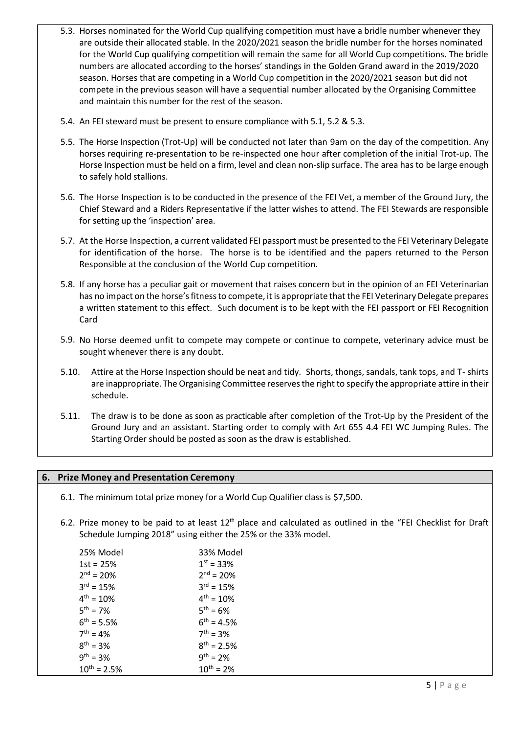- 5.3. Horses nominated for the World Cup qualifying competition must have a bridle number whenever they are outside their allocated stable. In the 2020/2021 season the bridle number for the horses nominated for the World Cup qualifying competition will remain the same for all World Cup competitions. The bridle numbers are allocated according to the horses' standings in the Golden Grand award in the 2019/2020 season. Horses that are competing in a World Cup competition in the 2020/2021 season but did not compete in the previous season will have a sequential number allocated by the Organising Committee and maintain this number for the rest of the season.
- 5.4. An FEI steward must be present to ensure compliance with 5.1, 5.2 & 5.3.
- 5.5. The Horse Inspection (Trot-Up) will be conducted not later than 9am on the day of the competition. Any horses requiring re-presentation to be re-inspected one hour after completion of the initial Trot-up. The Horse Inspection must be held on a firm, level and clean non-slip surface. The area has to be large enough to safely hold stallions.
- 5.6. The Horse Inspection is to be conducted in the presence of the FEI Vet, a member of the Ground Jury, the Chief Steward and a Riders Representative if the latter wishes to attend. The FEI Stewards are responsible for setting up the 'inspection' area.
- 5.7. At the Horse Inspection, a current validated FEI passport must be presented to the FEI Veterinary Delegate for identification of the horse. The horse is to be identified and the papers returned to the Person Responsible at the conclusion of the World Cup competition.
- 5.8. If any horse has a peculiar gait or movement that raises concern but in the opinion of an FEI Veterinarian has no impact on the horse's fitness to compete, it is appropriate that the FEI Veterinary Delegate prepares a written statement to this effect. Such document is to be kept with the FEI passport or FEI Recognition Card
- 5.9. No Horse deemed unfit to compete may compete or continue to compete, veterinary advice must be sought whenever there is any doubt.
- 5.10. Attire at the Horse Inspection should be neat and tidy. Shorts, thongs, sandals, tank tops, and T- shirts are inappropriate.The Organising Committee reservesthe right to specify the appropriate attire in their schedule.
- 5.11. The draw is to be done as soon as practicable after completion of the Trot-Up by the President of the Ground Jury and an assistant. Starting order to comply with Art 655 4.4 FEI WC Jumping Rules. The Starting Order should be posted as soon as the draw is established.

### **6. Prize Money and Presentation Ceremony**

- 6.1. The minimum total prize money for a World Cup Qualifier class is \$7,500.
- 6.2. Prize money to be paid to at least 12<sup>th</sup> place and calculated as outlined in the "FEI Checklist for Draft Schedule Jumping 2018" using either the 25% or the 33% model.

| 25% Model         | 33% Model       |
|-------------------|-----------------|
| $1st = 25%$       | $1^{st} = 33%$  |
| $2nd = 20%$       | $2^{nd} = 20%$  |
| $3^{rd} = 15\%$   | $3^{rd} = 15%$  |
| $4^{th} = 10\%$   | $4^{th} = 10\%$ |
| $5^{th} = 7\%$    | $5^{th} = 6\%$  |
| $6^{th} = 5.5\%$  | $6^{th} = 4.5%$ |
| $7^{th} = 4\%$    | $7^{th} = 3%$   |
| $8^{th} = 3\%$    | $8^{th} = 2.5%$ |
| $9^{th} = 3%$     | $9^{th} = 2\%$  |
| $10^{th} = 2.5\%$ | $10^{th} = 2\%$ |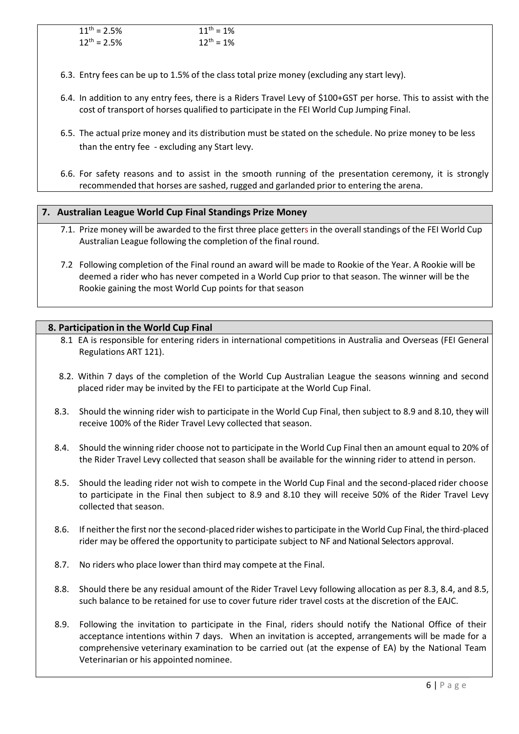| $11^{th} = 2.5\%$ | $11^{th} = 1\%$ |
|-------------------|-----------------|
| $12^{th} = 2.5\%$ | $12^{th} = 1\%$ |

- 6.3. Entry fees can be up to 1.5% of the class total prize money (excluding any start levy).
- 6.4. In addition to any entry fees, there is a Riders Travel Levy of \$100+GST per horse. This to assist with the cost of transport of horses qualified to participate in the FEI World Cup Jumping Final.
- 6.5. The actual prize money and its distribution must be stated on the schedule. No prize money to be less than the entry fee - excluding any Start levy.
- 6.6. For safety reasons and to assist in the smooth running of the presentation ceremony, it is strongly recommended that horses are sashed, rugged and garlanded prior to entering the arena.

### **7. Australian League World Cup Final Standings Prize Money**

- 7.1. Prize money will be awarded to the first three place getters in the overall standings of the FEI World Cup Australian League following the completion of the final round.
- 7.2 Following completion of the Final round an award will be made to Rookie of the Year. A Rookie will be deemed a rider who has never competed in a World Cup prior to that season. The winner will be the Rookie gaining the most World Cup points for that season

### **8. Participation in the World Cup Final**

- 8.1 EA is responsible for entering riders in international competitions in Australia and Overseas (FEI General Regulations ART 121).
- 8.2. Within 7 days of the completion of the World Cup Australian League the seasons winning and second placed rider may be invited by the FEI to participate at the World Cup Final.
- 8.3. Should the winning rider wish to participate in the World Cup Final, then subject to 8.9 and 8.10, they will receive 100% of the Rider Travel Levy collected that season.
- 8.4. Should the winning rider choose not to participate in the World Cup Final then an amount equal to 20% of the Rider Travel Levy collected that season shall be available for the winning rider to attend in person.
- 8.5. Should the leading rider not wish to compete in the World Cup Final and the second-placed rider choose to participate in the Final then subject to 8.9 and 8.10 they will receive 50% of the Rider Travel Levy collected that season.
- 8.6. If neitherthe first northe second-placed rider wishesto participate in the World Cup Final, the third-placed rider may be offered the opportunity to participate subject to NF and National Selectors approval.
- 8.7. No riders who place lower than third may compete at the Final.
- 8.8. Should there be any residual amount of the Rider Travel Levy following allocation as per 8.3, 8.4, and 8.5, such balance to be retained for use to cover future rider travel costs at the discretion of the EAJC.
- 8.9. Following the invitation to participate in the Final, riders should notify the National Office of their acceptance intentions within 7 days. When an invitation is accepted, arrangements will be made for a comprehensive veterinary examination to be carried out (at the expense of EA) by the National Team Veterinarian or his appointed nominee.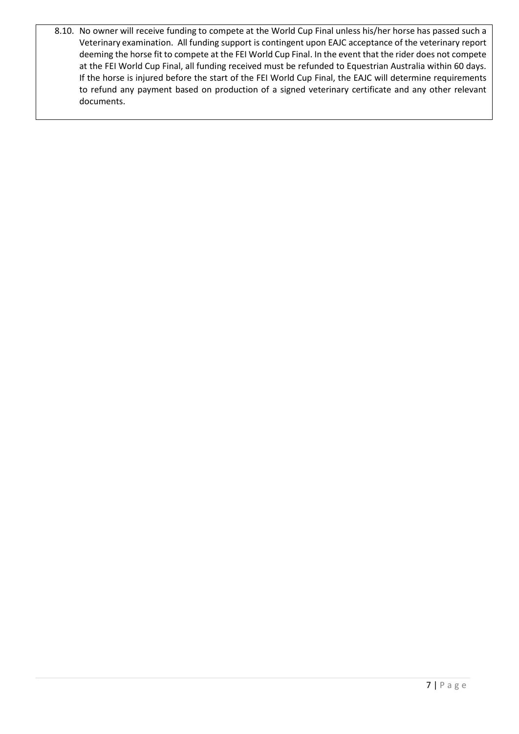8.10. No owner will receive funding to compete at the World Cup Final unless his/her horse has passed such a Veterinary examination. All funding support is contingent upon EAJC acceptance of the veterinary report deeming the horse fit to compete at the FEI World Cup Final. In the event that the rider does not compete at the FEI World Cup Final, all funding received must be refunded to Equestrian Australia within 60 days. If the horse is injured before the start of the FEI World Cup Final, the EAJC will determine requirements to refund any payment based on production of a signed veterinary certificate and any other relevant documents.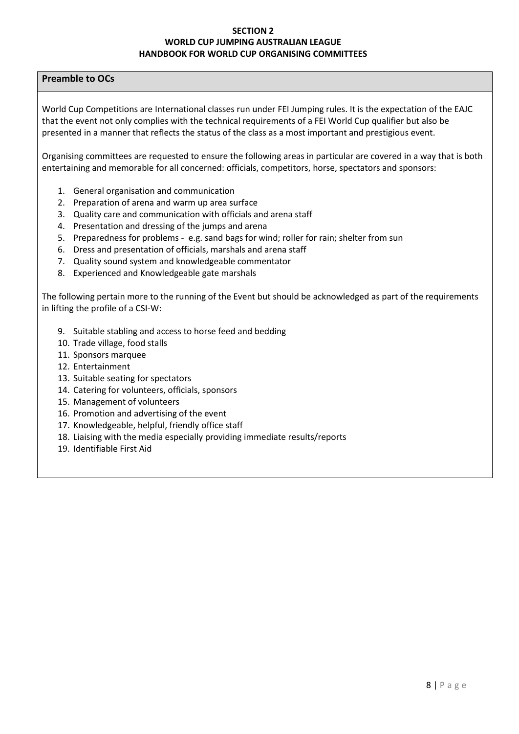### **SECTION 2 WORLD CUP JUMPING AUSTRALIAN LEAGUE HANDBOOK FOR WORLD CUP ORGANISING COMMITTEES**

### **Preamble to OCs**

World Cup Competitions are International classes run under FEI Jumping rules. It is the expectation of the EAJC that the event not only complies with the technical requirements of a FEI World Cup qualifier but also be presented in a manner that reflects the status of the class as a most important and prestigious event.

Organising committees are requested to ensure the following areas in particular are covered in a way that is both entertaining and memorable for all concerned: officials, competitors, horse, spectators and sponsors:

- 1. General organisation and communication
- 2. Preparation of arena and warm up area surface
- 3. Quality care and communication with officials and arena staff
- 4. Presentation and dressing of the jumps and arena
- 5. Preparedness for problems e.g. sand bags for wind; roller for rain; shelter from sun
- 6. Dress and presentation of officials, marshals and arena staff
- 7. Quality sound system and knowledgeable commentator
- 8. Experienced and Knowledgeable gate marshals

The following pertain more to the running of the Event but should be acknowledged as part of the requirements in lifting the profile of a CSI-W:

- 9. Suitable stabling and access to horse feed and bedding
- 10. Trade village, food stalls
- 11. Sponsors marquee
- 12. Entertainment
- 13. Suitable seating for spectators
- 14. Catering for volunteers, officials, sponsors
- 15. Management of volunteers
- 16. Promotion and advertising of the event
- 17. Knowledgeable, helpful, friendly office staff
- 18. Liaising with the media especially providing immediate results/reports
- 19. Identifiable First Aid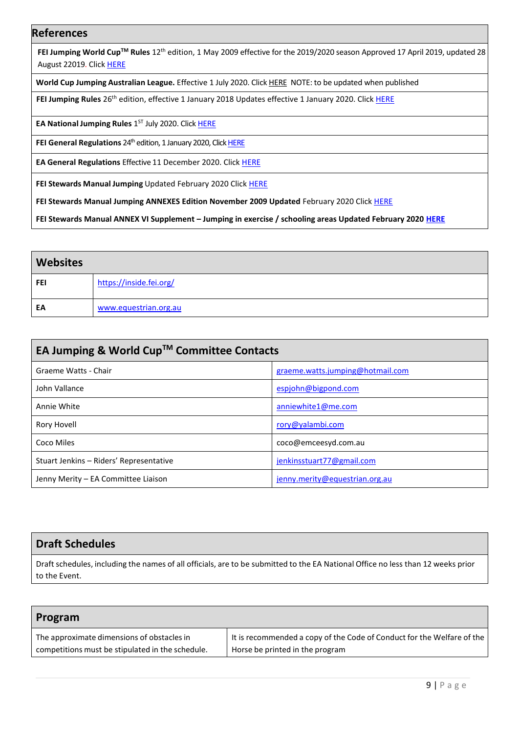### **References**

**FEI Jumping World Cup™ Rules** 12<sup>th</sup> edition, 1 May 2009 effective for the 2019/2020 season Approved 17 April 2019, updated 28 August 22019. Click [HERE](https://inside.fei.org/sites/default/files/WCJ_Rules_2019-20_updated_BM_2019.08.28_clean.pdf)

**World Cup Jumping Australian League.** Effective 1 July 2020. Click HERE NOTE: to be updated when published

FEI Jumping Rules 26<sup>th</sup> edition, effective 1 January 2018 Updates effective 1 January 2020. Click **HERE** 

**EA National Jumping Rules** 1 ST July 2020. Clic[k HERE](https://www.equestrian.org.au/sites/default/files/2020_EA_Jumping_Rules_CLEAN_1_July_2020_1.pdf) 

**FEI General Regulations** 24<sup>th</sup> edition, 1 January 2020, Click **HERE** 

**EA General Regulations** Effective 11 December 2020. Click [HERE](https://www.equestrian.org.au/sites/default/files/Equestrian_Australia_General_Regulations_Effective%2011_12_2019.pdf)

**FEI Stewards Manual Jumping** Updated February 2020 Clic[k HERE](https://inside.fei.org/sites/default/files/Stewards_Manual_Jumping_Mark-Up_February_2020.pdf)

**FEI Stewards Manual Jumping ANNEXES Edition November 2009 Updated** February 2020 Clic[k HERE](https://inside.fei.org/sites/default/files/Annexes_Stewards_Manual_Jumping_Mark-Up_February_2020_0.pdf)

**FEI Stewards Manual ANNEX VI Supplement – Jumping in exercise / schooling areas Updated February 2020 [HERE](https://inside.fei.org/sites/default/files/Annex_VI_Supplement_Stewards_Manual_Jumping_Mark-Up_%20February_2020.pdf)**

| <b>Websites</b> |                         |
|-----------------|-------------------------|
| <b>FEI</b>      | https://inside.fei.org/ |
| EA              | www.equestrian.org.au   |

| EA Jumping & World Cup™ Committee Contacts |                                  |  |
|--------------------------------------------|----------------------------------|--|
| Graeme Watts - Chair                       | graeme.watts.jumping@hotmail.com |  |
| John Vallance                              | espjohn@bigpond.com              |  |
| Annie White                                | anniewhite1@me.com               |  |
| Rory Hovell                                | rory@yalambi.com                 |  |
| Coco Miles                                 | coco@emceesyd.com.au             |  |
| Stuart Jenkins - Riders' Representative    | jenkinsstuart77@gmail.com        |  |
| Jenny Merity – EA Committee Liaison        | jenny.merity@equestrian.org.au   |  |

# **Draft Schedules**

Draft schedules, including the names of all officials, are to be submitted to the EA National Office no less than 12 weeks prior to the Event.

| Program                                          |                                                                        |
|--------------------------------------------------|------------------------------------------------------------------------|
| The approximate dimensions of obstacles in       | It is recommended a copy of the Code of Conduct for the Welfare of the |
| competitions must be stipulated in the schedule. | Horse be printed in the program                                        |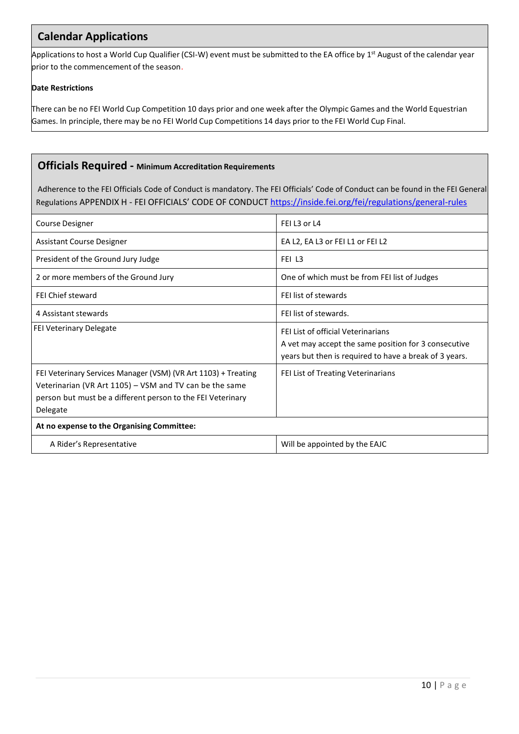# **Calendar Applications**

Applications to host a World Cup Qualifier (CSI-W) event must be submitted to the EA office by 1<sup>st</sup> August of the calendar year prior to the commencement of the season.

### **Date Restrictions**

There can be no FEI World Cup Competition 10 days prior and one week after the Olympic Games and the World Equestrian Games. In principle, there may be no FEI World Cup Competitions 14 days prior to the FEI World Cup Final.

### **Officials Required - Minimum Accreditation Requirements**

Adherence to the FEI Officials Code of Conduct is mandatory. The FEI Officials' Code of Conduct can be found in the FEI General Regulations APPENDIX H - FEI OFFICIALS' CODE OF CONDUCT <https://inside.fei.org/fei/regulations/general-rules>

| Course Designer                                                                                                                                                                                      | FEI L3 or L4                                                                                                                                              |  |
|------------------------------------------------------------------------------------------------------------------------------------------------------------------------------------------------------|-----------------------------------------------------------------------------------------------------------------------------------------------------------|--|
| <b>Assistant Course Designer</b>                                                                                                                                                                     | EA L2, EA L3 or FEI L1 or FEI L2                                                                                                                          |  |
| President of the Ground Jury Judge                                                                                                                                                                   | FEI L3                                                                                                                                                    |  |
| 2 or more members of the Ground Jury                                                                                                                                                                 | One of which must be from FEI list of Judges                                                                                                              |  |
| <b>FEI Chief steward</b>                                                                                                                                                                             | FEI list of stewards                                                                                                                                      |  |
| 4 Assistant stewards                                                                                                                                                                                 | FFI list of stewards.                                                                                                                                     |  |
| <b>FEI Veterinary Delegate</b>                                                                                                                                                                       | <b>FFLUst of official Veterinarians</b><br>A vet may accept the same position for 3 consecutive<br>years but then is required to have a break of 3 years. |  |
| FEI Veterinary Services Manager (VSM) (VR Art 1103) + Treating<br>Veterinarian (VR Art 1105) – VSM and TV can be the same<br>person but must be a different person to the FEI Veterinary<br>Delegate | FEI List of Treating Veterinarians                                                                                                                        |  |
| At no expense to the Organising Committee:                                                                                                                                                           |                                                                                                                                                           |  |
| A Rider's Representative                                                                                                                                                                             | Will be appointed by the EAJC                                                                                                                             |  |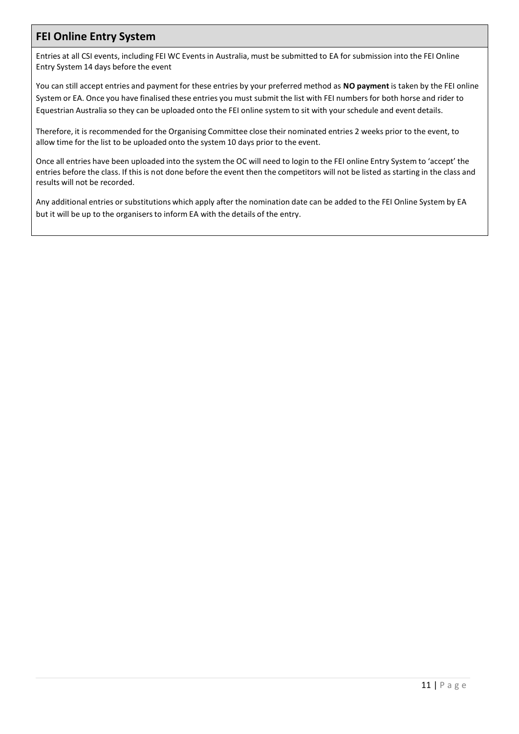# **FEI Online Entry System**

Entries at all CSI events, including FEI WC Events in Australia, must be submitted to EA for submission into the FEI Online Entry System 14 days before the event

You can still accept entries and payment for these entries by your preferred method as **NO payment** is taken by the FEI online System or EA. Once you have finalised these entries you must submit the list with FEI numbers for both horse and rider to Equestrian Australia so they can be uploaded onto the FEI online system to sit with your schedule and event details.

Therefore, it is recommended for the Organising Committee close their nominated entries 2 weeks prior to the event, to allow time for the list to be uploaded onto the system 10 days prior to the event.

Once all entries have been uploaded into the system the OC will need to login to the FEI online Entry System to 'accept' the entries before the class. If this is not done before the event then the competitors will not be listed as starting in the class and results will not be recorded.

Any additional entries or substitutions which apply after the nomination date can be added to the FEI Online System by EA but it will be up to the organisers to inform EA with the details of the entry.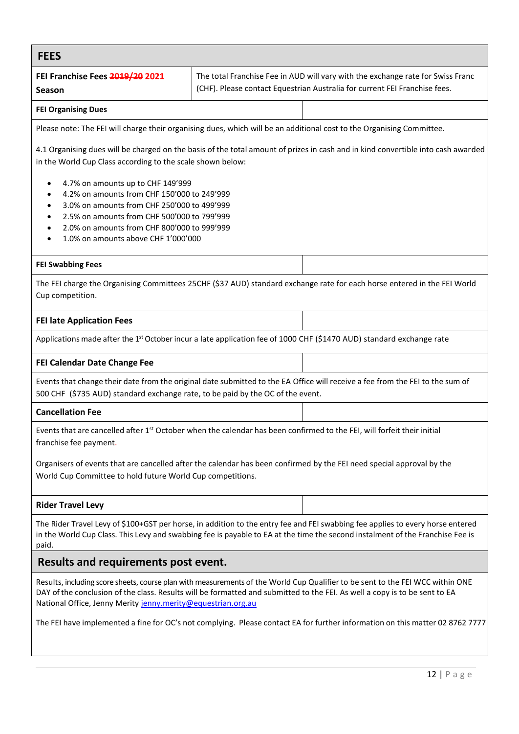| <b>FEES</b>                                                                                                                                                                                                                                                                                                                  |  |                                                                                                                                                                                                                                                                 |  |
|------------------------------------------------------------------------------------------------------------------------------------------------------------------------------------------------------------------------------------------------------------------------------------------------------------------------------|--|-----------------------------------------------------------------------------------------------------------------------------------------------------------------------------------------------------------------------------------------------------------------|--|
| FEI Franchise Fees 2019/20 2021<br><b>Season</b>                                                                                                                                                                                                                                                                             |  | The total Franchise Fee in AUD will vary with the exchange rate for Swiss Franc<br>(CHF). Please contact Equestrian Australia for current FEI Franchise fees.                                                                                                   |  |
| <b>FEI Organising Dues</b>                                                                                                                                                                                                                                                                                                   |  |                                                                                                                                                                                                                                                                 |  |
| Please note: The FEI will charge their organising dues, which will be an additional cost to the Organising Committee.                                                                                                                                                                                                        |  |                                                                                                                                                                                                                                                                 |  |
| in the World Cup Class according to the scale shown below:<br>4.7% on amounts up to CHF 149'999                                                                                                                                                                                                                              |  | 4.1 Organising dues will be charged on the basis of the total amount of prizes in cash and in kind convertible into cash awarded                                                                                                                                |  |
| 4.2% on amounts from CHF 150'000 to 249'999<br>3.0% on amounts from CHF 250'000 to 499'999<br>2.5% on amounts from CHF 500'000 to 799'999<br>2.0% on amounts from CHF 800'000 to 999'999<br>1.0% on amounts above CHF 1'000'000                                                                                              |  |                                                                                                                                                                                                                                                                 |  |
|                                                                                                                                                                                                                                                                                                                              |  |                                                                                                                                                                                                                                                                 |  |
| <b>FEI Swabbing Fees</b>                                                                                                                                                                                                                                                                                                     |  |                                                                                                                                                                                                                                                                 |  |
| Cup competition.                                                                                                                                                                                                                                                                                                             |  | The FEI charge the Organising Committees 25CHF (\$37 AUD) standard exchange rate for each horse entered in the FEI World                                                                                                                                        |  |
| <b>FEI late Application Fees</b>                                                                                                                                                                                                                                                                                             |  |                                                                                                                                                                                                                                                                 |  |
| Applications made after the 1 <sup>st</sup> October incur a late application fee of 1000 CHF (\$1470 AUD) standard exchange rate                                                                                                                                                                                             |  |                                                                                                                                                                                                                                                                 |  |
| FEI Calendar Date Change Fee                                                                                                                                                                                                                                                                                                 |  |                                                                                                                                                                                                                                                                 |  |
| 500 CHF (\$735 AUD) standard exchange rate, to be paid by the OC of the event.                                                                                                                                                                                                                                               |  | Events that change their date from the original date submitted to the EA Office will receive a fee from the FEI to the sum of                                                                                                                                   |  |
| <b>Cancellation Fee</b>                                                                                                                                                                                                                                                                                                      |  |                                                                                                                                                                                                                                                                 |  |
| Events that are cancelled after 1 <sup>st</sup> October when the calendar has been confirmed to the FEI, will forfeit their initial<br>franchise fee payment.                                                                                                                                                                |  |                                                                                                                                                                                                                                                                 |  |
| Organisers of events that are cancelled after the calendar has been confirmed by the FEI need special approval by the<br>World Cup Committee to hold future World Cup competitions.                                                                                                                                          |  |                                                                                                                                                                                                                                                                 |  |
| <b>Rider Travel Levy</b>                                                                                                                                                                                                                                                                                                     |  |                                                                                                                                                                                                                                                                 |  |
| paid.                                                                                                                                                                                                                                                                                                                        |  | The Rider Travel Levy of \$100+GST per horse, in addition to the entry fee and FEI swabbing fee applies to every horse entered<br>in the World Cup Class. This Levy and swabbing fee is payable to EA at the time the second instalment of the Franchise Fee is |  |
| Results and requirements post event.                                                                                                                                                                                                                                                                                         |  |                                                                                                                                                                                                                                                                 |  |
| Results, including score sheets, course plan with measurements of the World Cup Qualifier to be sent to the FEI WCC within ONE<br>DAY of the conclusion of the class. Results will be formatted and submitted to the FEI. As well a copy is to be sent to EA<br>National Office, Jenny Merity jenny.merity@equestrian.org.au |  |                                                                                                                                                                                                                                                                 |  |
|                                                                                                                                                                                                                                                                                                                              |  | The FEI have implemented a fine for OC's not complying. Please contact EA for further information on this matter 02 8762 7777                                                                                                                                   |  |

Ē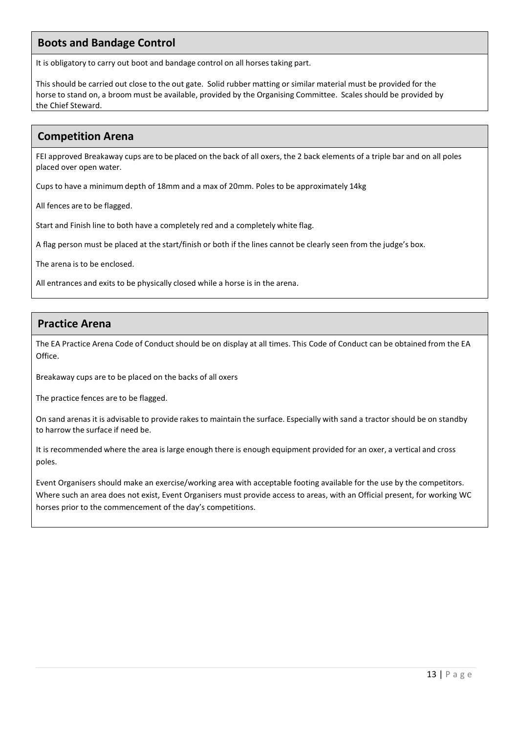# **Boots and Bandage Control**

It is obligatory to carry out boot and bandage control on all horses taking part.

This should be carried out close to the out gate. Solid rubber matting or similar material must be provided for the horse to stand on, a broom must be available, provided by the Organising Committee. Scales should be provided by the Chief Steward.

# **Competition Arena**

FEI approved Breakaway cups are to be placed on the back of all oxers, the 2 back elements of a triple bar and on all poles placed over open water.

Cups to have a minimum depth of 18mm and a max of 20mm. Poles to be approximately 14kg

All fences are to be flagged.

Start and Finish line to both have a completely red and a completely white flag.

A flag person must be placed at the start/finish or both if the lines cannot be clearly seen from the judge's box.

The arena is to be enclosed.

All entrances and exits to be physically closed while a horse is in the arena.

# **Practice Arena**

The EA Practice Arena Code of Conduct should be on display at all times. This Code of Conduct can be obtained from the EA Office.

Breakaway cups are to be placed on the backs of all oxers

The practice fences are to be flagged.

On sand arenas it is advisable to provide rakes to maintain the surface. Especially with sand a tractor should be on standby to harrow the surface if need be.

It is recommended where the area is large enough there is enough equipment provided for an oxer, a vertical and cross poles.

Event Organisers should make an exercise/working area with acceptable footing available for the use by the competitors. Where such an area does not exist, Event Organisers must provide access to areas, with an Official present, for working WC horses prior to the commencement of the day's competitions.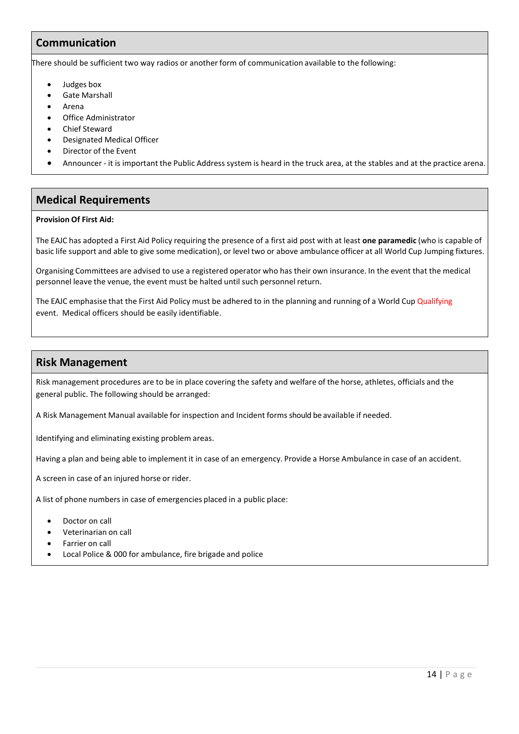# **Communication**

There should be sufficient two way radios or another form of communication available to the following:

- Judges box
- Gate Marshall
- Arena
- Office Administrator
- Chief Steward
- Designated Medical Officer
- Director of the Event
- Announcer it is important the Public Address system is heard in the truck area, at the stables and at the practice arena.

# **Medical Requirements**

#### **Provision Of First Aid:**

The EAJC has adopted a First Aid Policy requiring the presence of a first aid post with at least **one paramedic** (who is capable of basic life support and able to give some medication), or level two or above ambulance officer at all World Cup Jumping fixtures.

Organising Committees are advised to use a registered operator who has their own insurance. In the event that the medical personnel leave the venue, the event must be halted until such personnel return.

The EAJC emphasise that the First Aid Policy must be adhered to in the planning and running of a World Cup Qualifying event. Medical officers should be easily identifiable.

## **Risk Management**

Risk management procedures are to be in place covering the safety and welfare of the horse, athletes, officials and the general public. The following should be arranged:

A Risk Management Manual available for inspection and Incident forms should be available if needed.

Identifying and eliminating existing problem areas.

Having a plan and being able to implement it in case of an emergency. Provide a Horse Ambulance in case of an accident.

A screen in case of an injured horse or rider.

A list of phone numbers in case of emergencies placed in a public place:

- Doctor on call
- Veterinarian on call
- Farrier on call
- Local Police & 000 for ambulance, fire brigade and police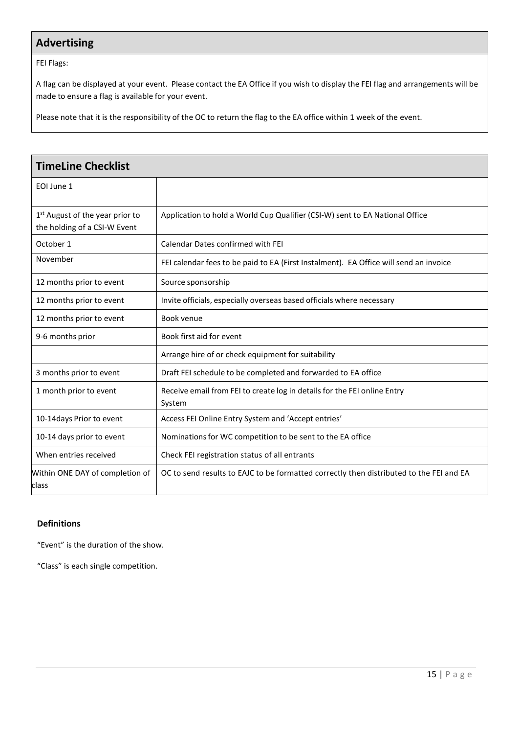# **Advertising**

FEI Flags:

A flag can be displayed at your event. Please contact the EA Office if you wish to display the FEI flag and arrangements will be made to ensure a flag is available for your event.

Please note that it is the responsibility of the OC to return the flag to the EA office within 1 week of the event.

| <b>TimeLine Checklist</b>                                                   |                                                                                         |  |  |  |
|-----------------------------------------------------------------------------|-----------------------------------------------------------------------------------------|--|--|--|
| EOI June 1                                                                  |                                                                                         |  |  |  |
| 1 <sup>st</sup> August of the year prior to<br>the holding of a CSI-W Event | Application to hold a World Cup Qualifier (CSI-W) sent to EA National Office            |  |  |  |
| October 1                                                                   | Calendar Dates confirmed with FEI                                                       |  |  |  |
| November                                                                    | FEI calendar fees to be paid to EA (First Instalment). EA Office will send an invoice   |  |  |  |
| 12 months prior to event                                                    | Source sponsorship                                                                      |  |  |  |
| 12 months prior to event                                                    | Invite officials, especially overseas based officials where necessary                   |  |  |  |
| 12 months prior to event                                                    | Book venue                                                                              |  |  |  |
| 9-6 months prior                                                            | Book first aid for event                                                                |  |  |  |
|                                                                             | Arrange hire of or check equipment for suitability                                      |  |  |  |
| 3 months prior to event                                                     | Draft FEI schedule to be completed and forwarded to EA office                           |  |  |  |
| 1 month prior to event                                                      | Receive email from FEI to create log in details for the FEI online Entry<br>System      |  |  |  |
| 10-14 days Prior to event                                                   | Access FEI Online Entry System and 'Accept entries'                                     |  |  |  |
| 10-14 days prior to event                                                   | Nominations for WC competition to be sent to the EA office                              |  |  |  |
| When entries received                                                       | Check FEI registration status of all entrants                                           |  |  |  |
| Within ONE DAY of completion of<br>class                                    | OC to send results to EAJC to be formatted correctly then distributed to the FEI and EA |  |  |  |

### **Definitions**

"Event" is the duration of the show.

"Class" is each single competition.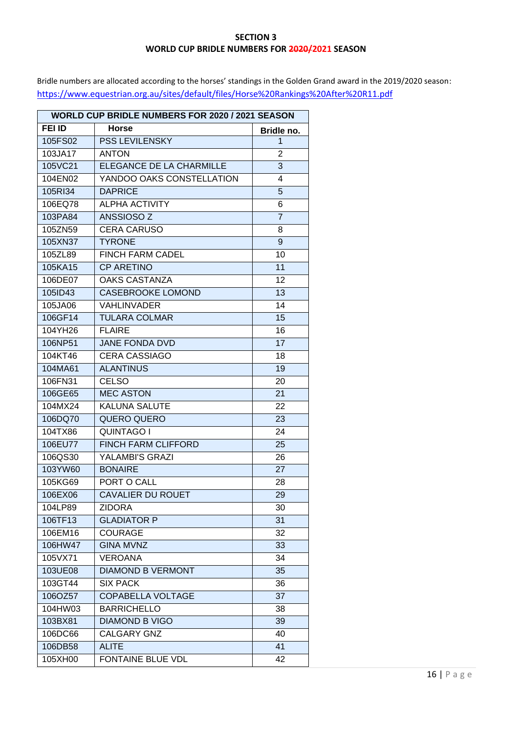### **SECTION 3 WORLD CUP BRIDLE NUMBERS FOR 2020/2021 SEASON**

Bridle numbers are allocated according to the horses' standings in the Golden Grand award in the 2019/2020 season: <https://www.equestrian.org.au/sites/default/files/Horse%20Rankings%20After%20R11.pdf>

| <b>WORLD CUP BRIDLE NUMBERS FOR 2020 / 2021 SEASON</b> |                            |                 |  |
|--------------------------------------------------------|----------------------------|-----------------|--|
| <b>FEI ID</b>                                          | Horse                      | Bridle no.      |  |
| 105FS02                                                | <b>PSS LEVILENSKY</b>      | 1               |  |
| 103JA17                                                | <b>ANTON</b>               | $\overline{2}$  |  |
| 105VC21                                                | ELEGANCE DE LA CHARMILLE   | 3               |  |
| 104EN02                                                | YANDOO OAKS CONSTELLATION  | 4               |  |
| 105RI34                                                | <b>DAPRICE</b>             | 5               |  |
| 106EQ78                                                | <b>ALPHA ACTIVITY</b>      | 6               |  |
| 103PA84                                                | ANSSIOSO <sub>Z</sub>      | $\overline{7}$  |  |
| 105ZN59                                                | <b>CERA CARUSO</b>         | 8               |  |
| 105XN37                                                | <b>TYRONE</b>              | 9               |  |
| 105ZL89                                                | FINCH FARM CADEL           | 10              |  |
| 105KA15                                                | <b>CP ARETINO</b>          | 11              |  |
| 106DE07                                                | <b>OAKS CASTANZA</b>       | $\overline{12}$ |  |
| 105ID43                                                | <b>CASEBROOKE LOMOND</b>   | 13              |  |
| 105JA06                                                | <b>VAHLINVADER</b>         | 14              |  |
| 106GF14                                                | <b>TULARA COLMAR</b>       | $\overline{15}$ |  |
| 104YH26                                                | <b>FLAIRE</b>              | 16              |  |
| 106NP51                                                | <b>JANE FONDA DVD</b>      | 17              |  |
| 104KT46                                                | <b>CERA CASSIAGO</b>       | 18              |  |
| 104MA61                                                | <b>ALANTINUS</b>           | 19              |  |
| 106FN31                                                | <b>CELSO</b>               | 20              |  |
| 106GE65                                                | <b>MEC ASTON</b>           | 21              |  |
| 104MX24                                                | <b>KALUNA SALUTE</b>       | 22              |  |
| 106DQ70                                                | <b>QUERO QUERO</b>         | 23              |  |
| 104TX86                                                | <b>QUINTAGO I</b>          | 24              |  |
| 106EU77                                                | <b>FINCH FARM CLIFFORD</b> | 25              |  |
| 106QS30                                                | <b>YALAMBI'S GRAZI</b>     | 26              |  |
| 103YW60                                                | <b>BONAIRE</b>             | $\overline{27}$ |  |
| 105KG69                                                | PORT O CALL                | 28              |  |
| 106EX06                                                | <b>CAVALIER DU ROUET</b>   | 29              |  |
| 104LP89                                                | <b>ZIDORA</b>              | 30              |  |
| 106TF13                                                | <b>GLADIATOR P</b>         | 31              |  |
| 106EM16                                                | <b>COURAGE</b>             | 32              |  |
| 106HW47                                                | <b>GINA MVNZ</b>           | 33              |  |
| 105VX71                                                | <b>VEROANA</b>             | 34              |  |
| 103UE08                                                | <b>DIAMOND B VERMONT</b>   | 35              |  |
| 103GT44                                                | <b>SIX PACK</b>            | 36              |  |
| 106OZ57                                                | <b>COPABELLA VOLTAGE</b>   | 37              |  |
| 104HW03                                                | <b>BARRICHELLO</b>         | 38              |  |
| 103BX81                                                | <b>DIAMOND B VIGO</b>      | 39              |  |
| 106DC66                                                | CALGARY GNZ                | 40              |  |
| 106DB58                                                | <b>ALITE</b>               | 41              |  |
| 105XH00                                                | FONTAINE BLUE VDL          | 42              |  |